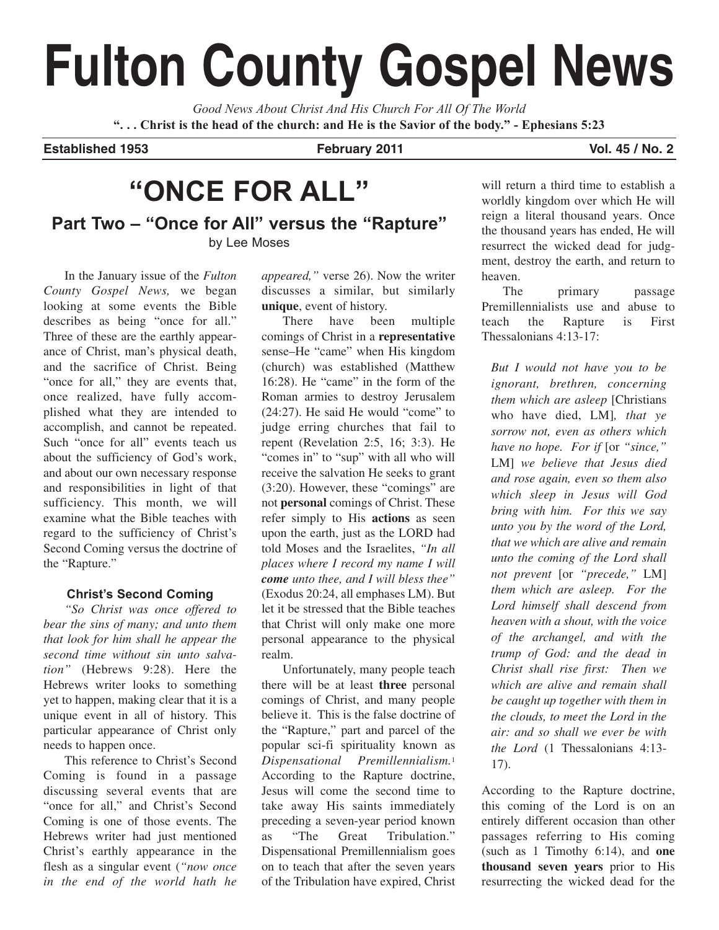# **Fulton County Gospel News**

*Good News About Christ And His Church For All Of The World* **". . . Christ is the head of the church: and He is the Savior of the body." - Ephesians 5:23**

**Established 1953 February 2011 Vol. 45 / No. 2**

## **"ONCE FOR ALL"**

**Part Two – "Once for All" versus the "Rapture"** by Lee Moses

In the January issue of the *Fulton County Gospel News,* we began looking at some events the Bible describes as being "once for all." Three of these are the earthly appearance of Christ, man's physical death, and the sacrifice of Christ. Being "once for all," they are events that, once realized, have fully accomplished what they are intended to accomplish, and cannot be repeated. Such "once for all" events teach us about the sufficiency of God's work, and about our own necessary response and responsibilities in light of that sufficiency. This month, we will examine what the Bible teaches with regard to the sufficiency of Christ's Second Coming versus the doctrine of the "Rapture."

## **Christ's Second Coming**

*"So Christ was once offered to bear the sins of many; and unto them that look for him shall he appear the second time without sin unto salvation"* (Hebrews 9:28). Here the Hebrews writer looks to something yet to happen, making clear that it is a unique event in all of history. This particular appearance of Christ only needs to happen once.

This reference to Christ's Second Coming is found in a passage discussing several events that are "once for all," and Christ's Second Coming is one of those events. The Hebrews writer had just mentioned Christ's earthly appearance in the flesh as a singular event (*"now once in the end of the world hath he*

*appeared,"* verse 26). Now the writer discusses a similar, but similarly **unique**, event of history.

There have been multiple comings of Christ in a **representative** sense–He "came" when His kingdom (church) was established (Matthew 16:28). He "came" in the form of the Roman armies to destroy Jerusalem (24:27). He said He would "come" to judge erring churches that fail to repent (Revelation 2:5, 16; 3:3). He "comes in" to "sup" with all who will receive the salvation He seeks to grant (3:20). However, these "comings" are not **personal** comings of Christ. These refer simply to His **actions** as seen upon the earth, just as the LORD had told Moses and the Israelites, *"In all places where I record my name I will come unto thee, and I will bless thee"* (Exodus 20:24, all emphases LM). But let it be stressed that the Bible teaches that Christ will only make one more personal appearance to the physical realm.

Unfortunately, many people teach there will be at least **three** personal comings of Christ, and many people believe it. This is the false doctrine of the "Rapture," part and parcel of the popular sci-fi spirituality known as *Dispensational Premillennialism.*<sup>1</sup> According to the Rapture doctrine, Jesus will come the second time to take away His saints immediately preceding a seven-year period known as "The Great Tribulation." Dispensational Premillennialism goes on to teach that after the seven years of the Tribulation have expired, Christ will return a third time to establish a worldly kingdom over which He will reign a literal thousand years. Once the thousand years has ended, He will resurrect the wicked dead for judgment, destroy the earth, and return to heaven.

The primary passage Premillennialists use and abuse to teach the Rapture is First Thessalonians 4:13-17:

*But I would not have you to be ignorant, brethren, concerning them which are asleep* [Christians who have died, LM]*, that ye sorrow not, even as others which have no hope. For if* [or *"since,"* LM] *we believe that Jesus died and rose again, even so them also which sleep in Jesus will God bring with him. For this we say unto you by the word of the Lord, that we which are alive and remain unto the coming of the Lord shall not prevent* [or *"precede,"* LM] *them which are asleep. For the Lord himself shall descend from heaven with a shout, with the voice of the archangel, and with the trump of God: and the dead in Christ shall rise first: Then we which are alive and remain shall be caught up together with them in the clouds, to meet the Lord in the air: and so shall we ever be with the Lord* (1 Thessalonians 4:13- 17).

According to the Rapture doctrine, this coming of the Lord is on an entirely different occasion than other passages referring to His coming (such as 1 Timothy 6:14), and **one thousand seven years** prior to His resurrecting the wicked dead for the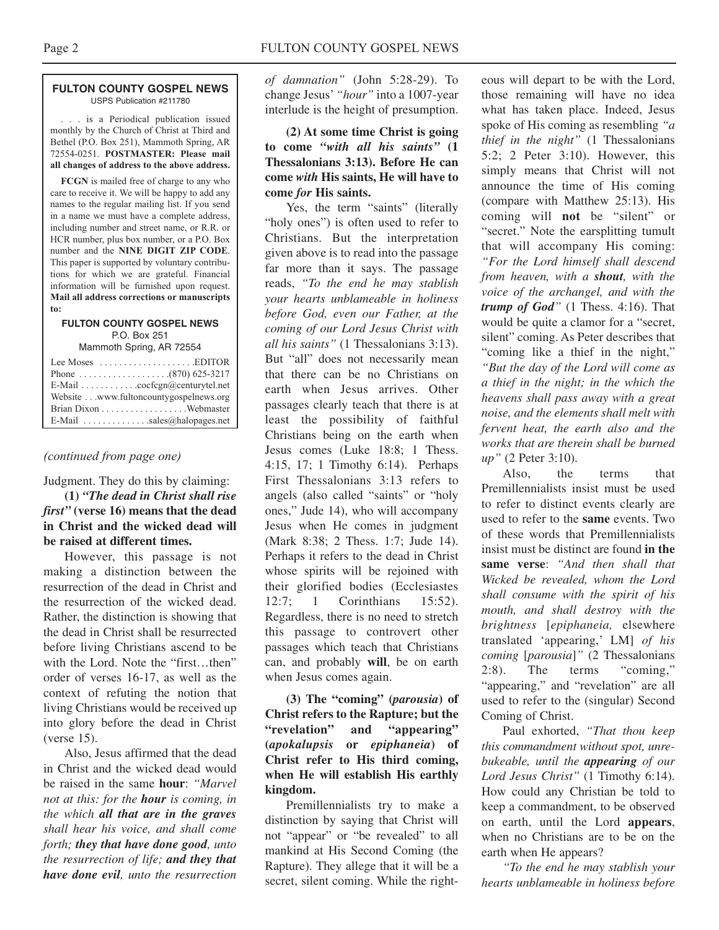#### **FULTON COUNTY GOSPEL NEWS** USPS Publication #211780

. . . is a Periodical publication issued monthly by the Church of Christ at Third and Bethel (P.O. Box 251), Mammoth Spring, AR 72554-0251. **POSTMASTER: Please mail all changes of address to the above address.**

**FCGN** is mailed free of charge to any who care to receive it. We will be happy to add any names to the regular mailing list. If you send in a name we must have a complete address, including number and street name, or R.R. or HCR number, plus box number, or a P.O. Box number and the **NINE DIGIT ZIP CODE**. This paper is supported by voluntary contributions for which we are grateful. Financial information will be furnished upon request. **Mail all address corrections or manuscripts to:**

#### **FULTON COUNTY GOSPEL NEWS** P.O. Box 251

Mammoth Spring, AR 72554

| Lee Moses $\dots\dots\dots\dots\dots\dots$ . EDITOR |
|-----------------------------------------------------|
|                                                     |
| E-Mail cocfcgn@centurytel.net                       |
| Website www.fultoncountygospelnews.org              |
|                                                     |
| E-Mail $\ldots$ sales@halopages.net                 |

## *(continued from page one)*

Judgment. They do this by claiming:

**(1)** *"The dead in Christ shall rise first"* **(verse 16) means that the dead in Christ and the wicked dead will be raised at different times.** 

However, this passage is not making a distinction between the resurrection of the dead in Christ and the resurrection of the wicked dead. Rather, the distinction is showing that the dead in Christ shall be resurrected before living Christians ascend to be with the Lord. Note the "first...then" order of verses 16-17, as well as the context of refuting the notion that living Christians would be received up into glory before the dead in Christ (verse 15).

Also, Jesus affirmed that the dead in Christ and the wicked dead would be raised in the same **hour**: *"Marvel not at this: for the hour is coming, in the which all that are in the graves shall hear his voice, and shall come forth; they that have done good, unto the resurrection of life; and they that have done evil, unto the resurrection*

*of damnation"* (John 5:28-29). To change Jesus'*"hour"* into a 1007-year interlude is the height of presumption.

**(2) At some time Christ is going to come** *"with all his saints"* **(1 Thessalonians 3:13). Before He can come** *with* **His saints, He will have to come** *for* **His saints.**

Yes, the term "saints" (literally "holy ones") is often used to refer to Christians. But the interpretation given above is to read into the passage far more than it says. The passage reads, *"To the end he may stablish your hearts unblameable in holiness before God, even our Father, at the coming of our Lord Jesus Christ with all his saints"* (1 Thessalonians 3:13). But "all" does not necessarily mean that there can be no Christians on earth when Jesus arrives. Other passages clearly teach that there is at least the possibility of faithful Christians being on the earth when Jesus comes (Luke 18:8; 1 Thess. 4:15, 17; 1 Timothy 6:14). Perhaps First Thessalonians 3:13 refers to angels (also called "saints" or "holy ones," Jude 14), who will accompany Jesus when He comes in judgment (Mark 8:38; 2 Thess. 1:7; Jude 14). Perhaps it refers to the dead in Christ whose spirits will be rejoined with their glorified bodies (Ecclesiastes 12:7; 1 Corinthians 15:52). Regardless, there is no need to stretch this passage to controvert other passages which teach that Christians can, and probably **will**, be on earth when Jesus comes again.

## **(3) The "coming" (***parousia***) of Christ refers to the Rapture; but the "revelation" and "appearing" (***apokalupsis* **or** *epiphaneia***) of Christ refer to His third coming, when He will establish His earthly kingdom.**

Premillennialists try to make a distinction by saying that Christ will not "appear" or "be revealed" to all mankind at His Second Coming (the Rapture). They allege that it will be a secret, silent coming. While the right-

eous will depart to be with the Lord, those remaining will have no idea what has taken place. Indeed, Jesus spoke of His coming as resembling *"a thief in the night"* (1 Thessalonians 5:2; 2 Peter 3:10). However, this simply means that Christ will not announce the time of His coming (compare with Matthew 25:13). His coming will **not** be "silent" or "secret." Note the earsplitting tumult that will accompany His coming: *"For the Lord himself shall descend from heaven, with a shout, with the voice of the archangel, and with the trump of God"* (1 Thess. 4:16). That would be quite a clamor for a "secret, silent" coming. As Peter describes that "coming like a thief in the night," *"But the day of the Lord will come as a thief in the night; in the which the heavens shall pass away with a great noise, and the elements shall melt with fervent heat, the earth also and the works that are therein shall be burned up"* (2 Peter 3:10).

Also, the terms that Premillennialists insist must be used to refer to distinct events clearly are used to refer to the **same** events. Two of these words that Premillennialists insist must be distinct are found **in the same verse**: *"And then shall that Wicked be revealed, whom the Lord shall consume with the spirit of his mouth, and shall destroy with the brightness* [*epiphaneia,* elsewhere translated 'appearing,' LM] *of his coming* [*parousia*]*"* (2 Thessalonians 2:8). The terms "coming," "appearing," and "revelation" are all used to refer to the (singular) Second Coming of Christ.

Paul exhorted, *"That thou keep this commandment without spot, unrebukeable, until the appearing of our Lord Jesus Christ"* (1 Timothy 6:14). How could any Christian be told to keep a commandment, to be observed on earth, until the Lord **appears**, when no Christians are to be on the earth when He appears?

*"To the end he may stablish your hearts unblameable in holiness before*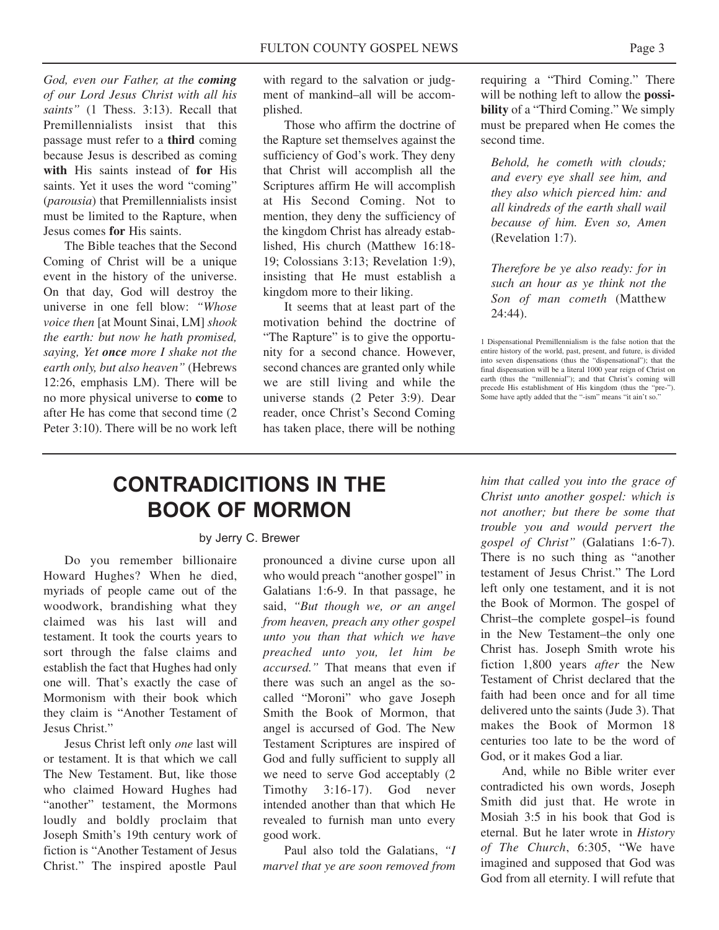*God, even our Father, at the coming of our Lord Jesus Christ with all his saints"* (1 Thess. 3:13). Recall that Premillennialists insist that this passage must refer to a **third** coming because Jesus is described as coming **with** His saints instead of **for** His saints. Yet it uses the word "coming" (*parousia*) that Premillennialists insist must be limited to the Rapture, when Jesus comes **for** His saints.

The Bible teaches that the Second Coming of Christ will be a unique event in the history of the universe. On that day, God will destroy the universe in one fell blow: *"Whose voice then* [at Mount Sinai, LM] *shook the earth: but now he hath promised, saying, Yet once more I shake not the earth only, but also heaven"* (Hebrews 12:26, emphasis LM). There will be no more physical universe to **come** to after He has come that second time (2 Peter 3:10). There will be no work left

with regard to the salvation or judgment of mankind–all will be accomplished.

Those who affirm the doctrine of the Rapture set themselves against the sufficiency of God's work. They deny that Christ will accomplish all the Scriptures affirm He will accomplish at His Second Coming. Not to mention, they deny the sufficiency of the kingdom Christ has already established, His church (Matthew 16:18- 19; Colossians 3:13; Revelation 1:9), insisting that He must establish a kingdom more to their liking.

It seems that at least part of the motivation behind the doctrine of "The Rapture" is to give the opportunity for a second chance. However, second chances are granted only while we are still living and while the universe stands (2 Peter 3:9). Dear reader, once Christ's Second Coming has taken place, there will be nothing

requiring a "Third Coming." There will be nothing left to allow the **possibility** of a "Third Coming." We simply must be prepared when He comes the second time.

*Behold, he cometh with clouds; and every eye shall see him, and they also which pierced him: and all kindreds of the earth shall wail because of him. Even so, Amen* (Revelation 1:7).

*Therefore be ye also ready: for in such an hour as ye think not the Son of man cometh* (Matthew 24:44).

1 Dispensational Premillennialism is the false notion that the entire history of the world, past, present, and future, is divided into seven dispensations (thus the "dispensational"); that the final dispensation will be a literal 1000 year reign of Christ on earth (thus the "millennial"); and that Christ's coming will precede His establishment of His kingdom (thus the "pre-"). Some have aptly added that the "-ism" means "it ain't so."

## **CONTRADICITIONS IN THE BOOK OF MORMON**

### by Jerry C. Brewer

Do you remember billionaire Howard Hughes? When he died, myriads of people came out of the woodwork, brandishing what they claimed was his last will and testament. It took the courts years to sort through the false claims and establish the fact that Hughes had only one will. That's exactly the case of Mormonism with their book which they claim is "Another Testament of Jesus Christ."

Jesus Christ left only *one* last will or testament. It is that which we call The New Testament. But, like those who claimed Howard Hughes had "another" testament, the Mormons loudly and boldly proclaim that Joseph Smith's 19th century work of fiction is "Another Testament of Jesus Christ." The inspired apostle Paul

pronounced a divine curse upon all who would preach "another gospel" in Galatians 1:6-9. In that passage, he said, *"But though we, or an angel from heaven, preach any other gospel unto you than that which we have preached unto you, let him be accursed."* That means that even if there was such an angel as the socalled "Moroni" who gave Joseph Smith the Book of Mormon, that angel is accursed of God. The New Testament Scriptures are inspired of God and fully sufficient to supply all we need to serve God acceptably (2 Timothy 3:16-17). God never intended another than that which He revealed to furnish man unto every good work.

Paul also told the Galatians, *"I marvel that ye are soon removed from*

*him that called you into the grace of Christ unto another gospel: which is not another; but there be some that trouble you and would pervert the gospel of Christ"* (Galatians 1:6-7). There is no such thing as "another testament of Jesus Christ." The Lord left only one testament, and it is not the Book of Mormon. The gospel of Christ–the complete gospel–is found in the New Testament–the only one Christ has. Joseph Smith wrote his fiction 1,800 years *after* the New Testament of Christ declared that the faith had been once and for all time delivered unto the saints (Jude 3). That makes the Book of Mormon 18 centuries too late to be the word of God, or it makes God a liar.

And, while no Bible writer ever contradicted his own words, Joseph Smith did just that. He wrote in Mosiah 3:5 in his book that God is eternal. But he later wrote in *History of The Church*, 6:305, "We have imagined and supposed that God was God from all eternity. I will refute that